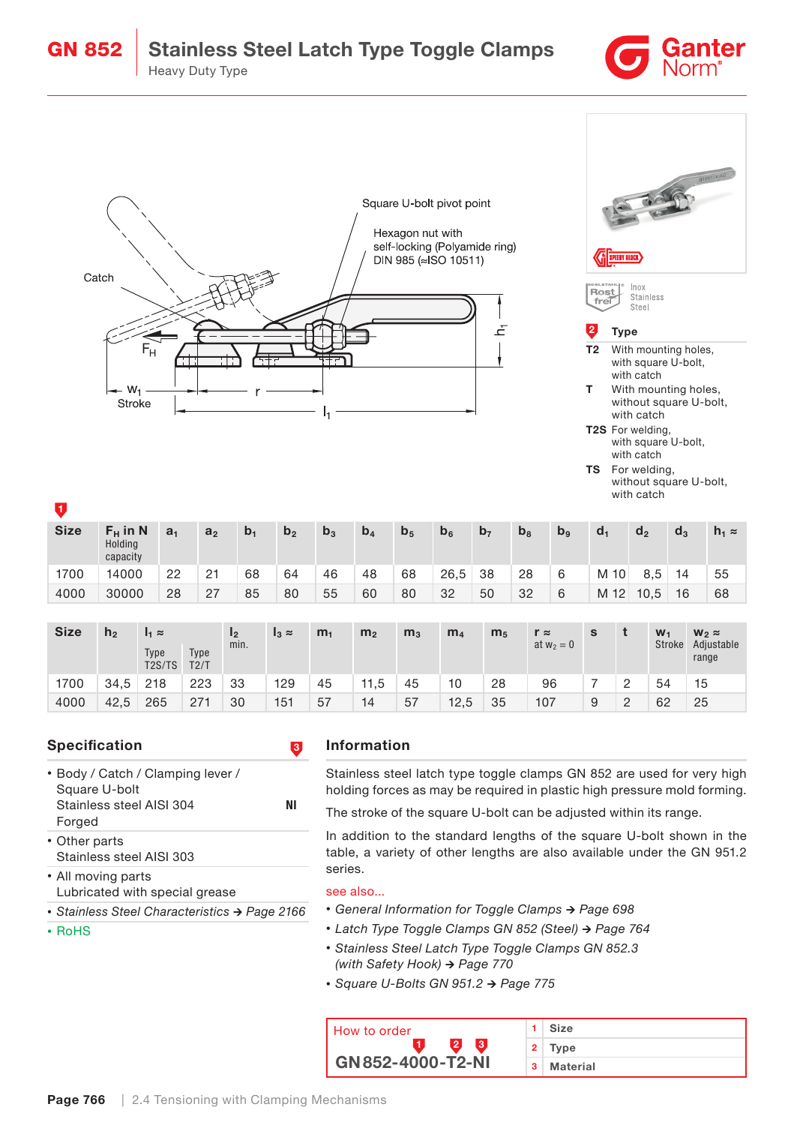





without square U-bolt, with catch

| n           | .                                 |                |                |       |                |                |                |                |                |                |                |                |                |                |       |               |
|-------------|-----------------------------------|----------------|----------------|-------|----------------|----------------|----------------|----------------|----------------|----------------|----------------|----------------|----------------|----------------|-------|---------------|
| <b>Size</b> | $F_H$ in N<br>Holding<br>capacity | a <sub>1</sub> | a <sub>2</sub> | $b_1$ | b <sub>2</sub> | b <sub>3</sub> | b <sub>4</sub> | b <sub>5</sub> | b <sub>6</sub> | b <sub>7</sub> | b <sub>8</sub> | b <sub>9</sub> | d <sub>1</sub> | d <sub>2</sub> | $d_3$ | $h_1 \approx$ |
| 1700        | 14000                             | 22             | 21             | 68    | 64             | 46             | 48             | 68             | 26,5           | 38             | 28             | 6              | M 10           | 8,5            | 14    | 55            |
| 4000        | 30000                             | 28             | 27             | 85    | 80             | 55             | 60             | 80             | 32             | 50             | 32             | 6              | M 12           | 10.5           | 16    | 68            |

| <b>Size</b> | h <sub>2</sub> | $I_1 \approx$                           |              | 12<br>min. | $I_3 \approx$ | m <sub>1</sub> | m <sub>2</sub> | m <sub>3</sub> | m <sub>4</sub> | m <sub>5</sub> | $r \approx$<br>at $w_2 = 0$ | s |   | $W_1$<br>Stroke | $W_2 \approx$<br>Adjustable<br>range |
|-------------|----------------|-----------------------------------------|--------------|------------|---------------|----------------|----------------|----------------|----------------|----------------|-----------------------------|---|---|-----------------|--------------------------------------|
|             |                | Type<br>T <sub>2</sub> S/T <sub>S</sub> | Type<br>T2/T |            |               |                |                |                |                |                |                             |   |   |                 |                                      |
| 1700        | 34.5           | 218                                     | 223          | 33         | 129           | 45             | 11,5           | 45             | 10             | 28             | 96                          |   |   | 54              | 15                                   |
| 4000        | 42.5           | 265                                     | 271          | 30         | 151           | 57             | 14             | 57             | 12,5           | 35             | 107                         | 9 | 2 | 62              | 25                                   |

## Specification **3**

- Body / Catch / Clamping lever / Square U-bolt Stainless steel AISI 304 NI Forged
- Other parts Stainless steel AISI 303

• All moving parts

- Lubricated with special grease
- *•* Stainless Steel Characteristics → Page 2166

• RoHS

## Information

Stainless steel latch type toggle clamps GN 852 are used for very high holding forces as may be required in plastic high pressure mold forming.

The stroke of the square U-bolt can be adjusted within its range.

In addition to the standard lengths of the square U-bolt shown in the table, a variety of other lengths are also available under the GN 951.2 series.

## see also...

- *•* General Information for Toggle Clamps → Page 698
- *•* Latch Type Toggle Clamps GN 852 (Steel) → Page 764
- *•* Stainless Steel Latch Type Toggle Clamps GN 852.3 (with Safety Hook) → Page 770
- *•* Square U-Bolts GN 951.2 → Page 775

| <b>How to order</b>       |   | Size     |
|---------------------------|---|----------|
|                           |   | Type     |
| $GN 852 - 4000 - T2 - NI$ | 3 | Material |